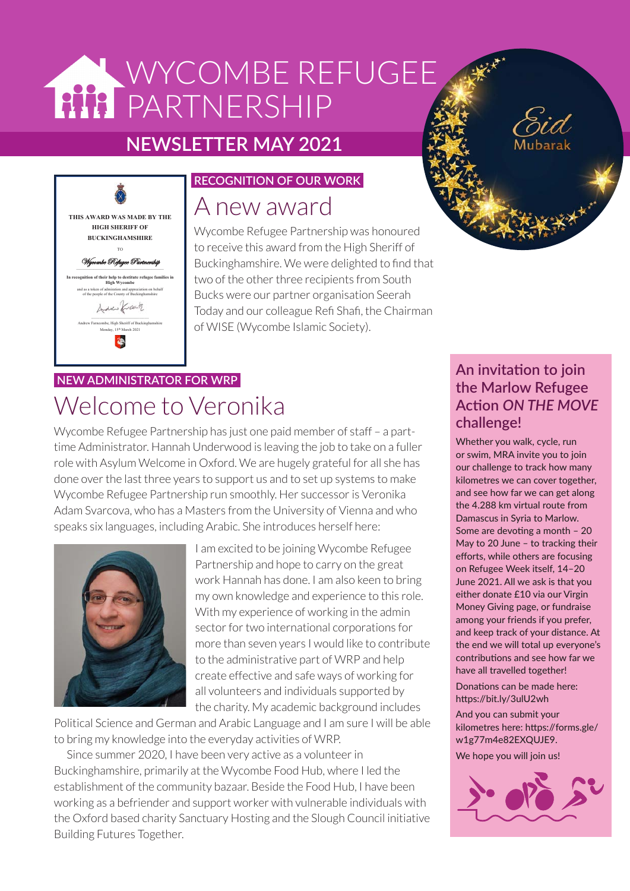# WYCOMBE REFUGEE **PARTNERSHIP**

## **NEWSLETTER MAY 2021**



#### **RECOGNITION OF OUR WORK**

## A new award

Wycombe Refugee Partnership was honoured to receive this award from the High Sheriff of Buckinghamshire. We were delighted to find that two of the other three recipients from South Bucks were our partner organisation Seerah Today and our colleague Refi Shafi, the Chairman of WISE (Wycombe Islamic Society).

## **NEW ADMINISTRATOR FOR WRP** Welcome to Veronika

Wycombe Refugee Partnership has just one paid member of staff – a parttime Administrator. Hannah Underwood is leaving the job to take on a fuller role with Asylum Welcome in Oxford. We are hugely grateful for all she has done over the last three years to support us and to set up systems to make Wycombe Refugee Partnership run smoothly. Her successor is Veronika Adam Svarcova, who has a Masters from the University of Vienna and who speaks six languages, including Arabic. She introduces herself here:



I am excited to be joining Wycombe Refugee Partnership and hope to carry on the great work Hannah has done. I am also keen to bring my own knowledge and experience to this role. With my experience of working in the admin sector for two international corporations for more than seven years I would like to contribute to the administrative part of WRP and help create effective and safe ways of working for all volunteers and individuals supported by the charity. My academic background includes

Political Science and German and Arabic Language and I am sure I will be able to bring my knowledge into the everyday activities of WRP.

Since summer 2020, I have been very active as a volunteer in Buckinghamshire, primarily at the Wycombe Food Hub, where I led the establishment of the community bazaar. Beside the Food Hub, I have been working as a befriender and support worker with vulnerable individuals with the Oxford based charity Sanctuary Hosting and the Slough Council initiative Building Futures Together.

## **An invitation to join the Marlow Refugee Action** *ON THE MOVE* **challenge!**

Whether you walk, cycle, run or swim, MRA invite you to join our challenge to track how many kilometres we can cover together, and see how far we can get along the 4.288 km virtual route from Damascus in Syria to Marlow. Some are devoting a month – 20 May to 20 June – to tracking their efforts, while others are focusing on Refugee Week itself, 14–20 June 2021. All we ask is that you either donate £10 via our Virgin Money Giving page, or fundraise among your friends if you prefer, and keep track of your distance. At the end we will total up everyone's contributions and see how far we have all travelled together! Donations can be made here: https://bit.ly/3ulU2wh

And you can submit your kilometres here: https://forms.gle/ w1g77m4e82EXQUJE9. We hope you will join us!

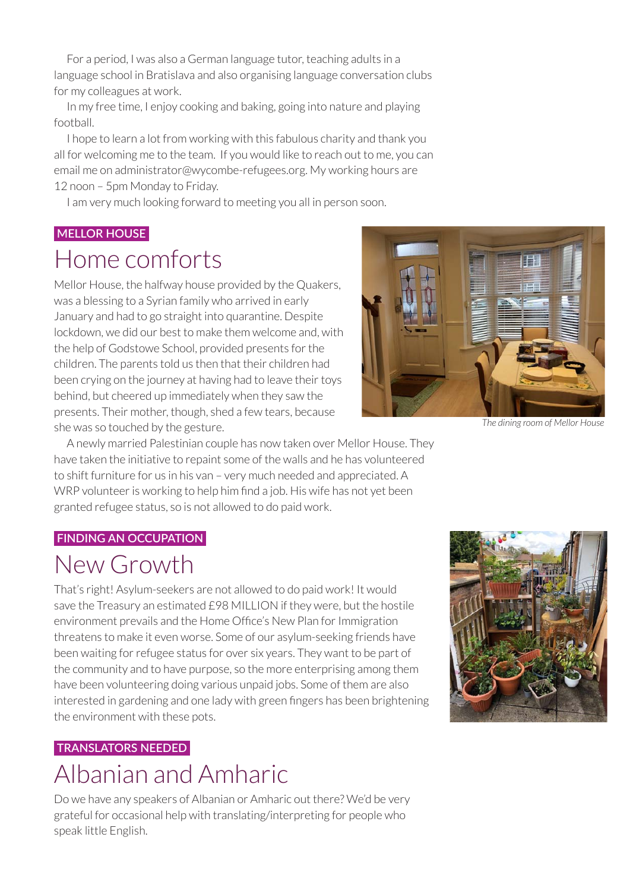For a period, I was also a German language tutor, teaching adults in a language school in Bratislava and also organising language conversation clubs for my colleagues at work.

In my free time, I enjoy cooking and baking, going into nature and playing football.

I hope to learn a lot from working with this fabulous charity and thank you all for welcoming me to the team. If you would like to reach out to me, you can email me on administrator@wycombe-refugees.org. My working hours are 12 noon – 5pm Monday to Friday.

I am very much looking forward to meeting you all in person soon.

#### **MELLOR HOUSE**

## Home comforts

Mellor House, the halfway house provided by the Quakers, was a blessing to a Syrian family who arrived in early January and had to go straight into quarantine. Despite lockdown, we did our best to make them welcome and, with the help of Godstowe School, provided presents for the children. The parents told us then that their children had been crying on the journey at having had to leave their toys behind, but cheered up immediately when they saw the presents. Their mother, though, shed a few tears, because she was so touched by the gesture.



*The dining room of Mellor House*

A newly married Palestinian couple has now taken over Mellor House. They have taken the initiative to repaint some of the walls and he has volunteered to shift furniture for us in his van – very much needed and appreciated. A WRP volunteer is working to help him find a job. His wife has not yet been granted refugee status, so is not allowed to do paid work.

#### **FINDING AN OCCUPATION**

## New Growth

That's right! Asylum-seekers are not allowed to do paid work! It would save the Treasury an estimated £98 MILLION if they were, but the hostile environment prevails and the Home Office's New Plan for Immigration threatens to make it even worse. Some of our asylum-seeking friends have been waiting for refugee status for over six years. They want to be part of the community and to have purpose, so the more enterprising among them have been volunteering doing various unpaid jobs. Some of them are also interested in gardening and one lady with green fingers has been brightening the environment with these pots.

## **TRANSLATORS NEEDED**

## Albanian and Amharic

Do we have any speakers of Albanian or Amharic out there? We'd be very grateful for occasional help with translating/interpreting for people who speak little English.